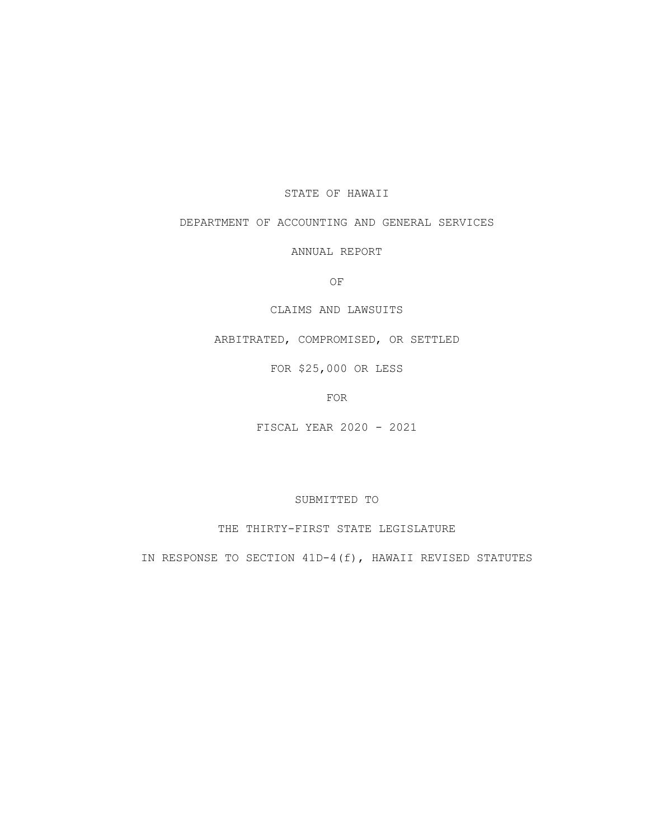## STATE OF HAWAII

# DEPARTMENT OF ACCOUNTING AND GENERAL SERVICES

ANNUAL REPORT

OF

# CLAIMS AND LAWSUITS

ARBITRATED, COMPROMISED, OR SETTLED

FOR \$25,000 OR LESS

FOR

FISCAL YEAR 2020 - 2021

SUBMITTED TO

THE THIRTY-FIRST STATE LEGISLATURE

IN RESPONSE TO SECTION 41D-4(f), HAWAII REVISED STATUTES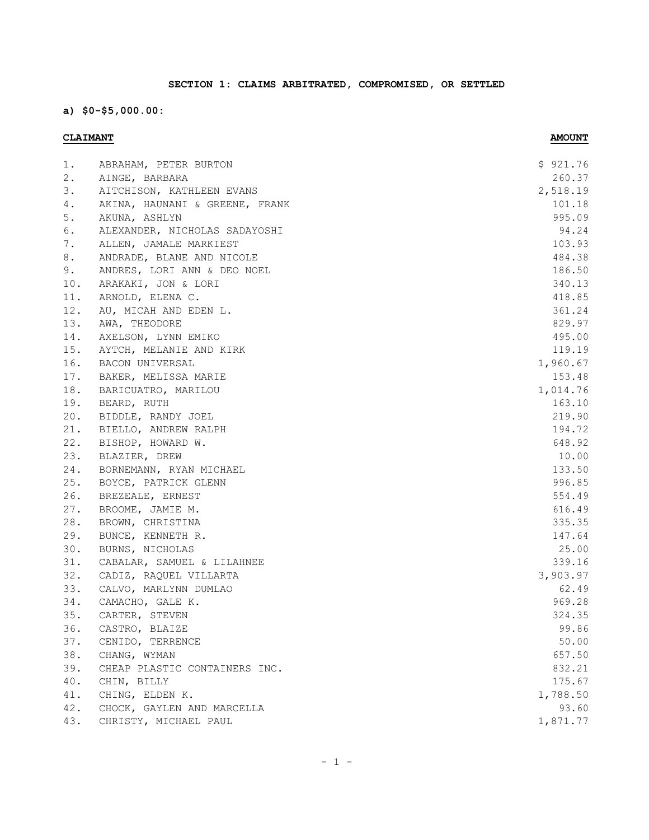# **SECTION 1: CLAIMS ARBITRATED, COMPROMISED, OR SETTLED**

**a) \$0-\$5,000.00:**

| 2.<br>260.37<br>AINGE, BARBARA<br>3.<br>2,518.19<br>AITCHISON, KATHLEEN EVANS<br>101.18<br>4.<br>AKINA, HAUNANI & GREENE, FRANK<br>5.<br>995.09<br>AKUNA, ASHLYN<br>6.<br>94.24<br>ALEXANDER, NICHOLAS SADAYOSHI<br>7.<br>103.93<br>ALLEN, JAMALE MARKIEST<br>8.<br>ANDRADE, BLANE AND NICOLE<br>484.38<br>186.50<br>9.<br>ANDRES, LORI ANN & DEO NOEL<br>340.13<br>ARAKAKI, JON & LORI<br>418.85<br>ARNOLD, ELENA C.<br>361.24<br>AU, MICAH AND EDEN L.<br>AWA, THEODORE<br>829.97<br>AXELSON, LYNN EMIKO<br>495.00<br>AYTCH, MELANIE AND KIRK<br>119.19<br>BACON UNIVERSAL<br>1,960.67<br>153.48<br>BAKER, MELISSA MARIE<br>BARICUATRO, MARILOU<br>1,014.76<br>163.10<br>BEARD, RUTH<br>BIDDLE, RANDY JOEL<br>219.90<br>BIELLO, ANDREW RALPH<br>194.72<br>648.92<br>BISHOP, HOWARD W.<br>10.00<br>BLAZIER, DREW<br>133.50<br>BORNEMANN, RYAN MICHAEL<br>996.85<br>BOYCE, PATRICK GLENN<br>BREZEALE, ERNEST<br>554.49<br>BROOME, JAMIE M.<br>616.49<br>BROWN, CHRISTINA<br>335.35<br>BUNCE, KENNETH R.<br>147.64<br>BURNS, NICHOLAS<br>25.00<br>339.16<br>CABALAR, SAMUEL & LILAHNEE<br>CADIZ, RAQUEL VILLARTA<br>3,903.97<br>33.<br>62.49<br>CALVO, MARLYNN DUMLAO<br>34.<br>969.28<br>CAMACHO, GALE K.<br>324.35<br>CARTER, STEVEN |     |                       |          |
|---------------------------------------------------------------------------------------------------------------------------------------------------------------------------------------------------------------------------------------------------------------------------------------------------------------------------------------------------------------------------------------------------------------------------------------------------------------------------------------------------------------------------------------------------------------------------------------------------------------------------------------------------------------------------------------------------------------------------------------------------------------------------------------------------------------------------------------------------------------------------------------------------------------------------------------------------------------------------------------------------------------------------------------------------------------------------------------------------------------------------------------------------------------------------------------------------------------------------------------|-----|-----------------------|----------|
|                                                                                                                                                                                                                                                                                                                                                                                                                                                                                                                                                                                                                                                                                                                                                                                                                                                                                                                                                                                                                                                                                                                                                                                                                                       | 1.  | ABRAHAM, PETER BURTON | \$921.76 |
|                                                                                                                                                                                                                                                                                                                                                                                                                                                                                                                                                                                                                                                                                                                                                                                                                                                                                                                                                                                                                                                                                                                                                                                                                                       |     |                       |          |
|                                                                                                                                                                                                                                                                                                                                                                                                                                                                                                                                                                                                                                                                                                                                                                                                                                                                                                                                                                                                                                                                                                                                                                                                                                       |     |                       |          |
|                                                                                                                                                                                                                                                                                                                                                                                                                                                                                                                                                                                                                                                                                                                                                                                                                                                                                                                                                                                                                                                                                                                                                                                                                                       |     |                       |          |
|                                                                                                                                                                                                                                                                                                                                                                                                                                                                                                                                                                                                                                                                                                                                                                                                                                                                                                                                                                                                                                                                                                                                                                                                                                       |     |                       |          |
|                                                                                                                                                                                                                                                                                                                                                                                                                                                                                                                                                                                                                                                                                                                                                                                                                                                                                                                                                                                                                                                                                                                                                                                                                                       |     |                       |          |
|                                                                                                                                                                                                                                                                                                                                                                                                                                                                                                                                                                                                                                                                                                                                                                                                                                                                                                                                                                                                                                                                                                                                                                                                                                       |     |                       |          |
|                                                                                                                                                                                                                                                                                                                                                                                                                                                                                                                                                                                                                                                                                                                                                                                                                                                                                                                                                                                                                                                                                                                                                                                                                                       |     |                       |          |
|                                                                                                                                                                                                                                                                                                                                                                                                                                                                                                                                                                                                                                                                                                                                                                                                                                                                                                                                                                                                                                                                                                                                                                                                                                       |     |                       |          |
|                                                                                                                                                                                                                                                                                                                                                                                                                                                                                                                                                                                                                                                                                                                                                                                                                                                                                                                                                                                                                                                                                                                                                                                                                                       | 10. |                       |          |
|                                                                                                                                                                                                                                                                                                                                                                                                                                                                                                                                                                                                                                                                                                                                                                                                                                                                                                                                                                                                                                                                                                                                                                                                                                       | 11. |                       |          |
|                                                                                                                                                                                                                                                                                                                                                                                                                                                                                                                                                                                                                                                                                                                                                                                                                                                                                                                                                                                                                                                                                                                                                                                                                                       | 12. |                       |          |
|                                                                                                                                                                                                                                                                                                                                                                                                                                                                                                                                                                                                                                                                                                                                                                                                                                                                                                                                                                                                                                                                                                                                                                                                                                       | 13. |                       |          |
|                                                                                                                                                                                                                                                                                                                                                                                                                                                                                                                                                                                                                                                                                                                                                                                                                                                                                                                                                                                                                                                                                                                                                                                                                                       | 14. |                       |          |
|                                                                                                                                                                                                                                                                                                                                                                                                                                                                                                                                                                                                                                                                                                                                                                                                                                                                                                                                                                                                                                                                                                                                                                                                                                       | 15. |                       |          |
|                                                                                                                                                                                                                                                                                                                                                                                                                                                                                                                                                                                                                                                                                                                                                                                                                                                                                                                                                                                                                                                                                                                                                                                                                                       | 16. |                       |          |
|                                                                                                                                                                                                                                                                                                                                                                                                                                                                                                                                                                                                                                                                                                                                                                                                                                                                                                                                                                                                                                                                                                                                                                                                                                       | 17. |                       |          |
|                                                                                                                                                                                                                                                                                                                                                                                                                                                                                                                                                                                                                                                                                                                                                                                                                                                                                                                                                                                                                                                                                                                                                                                                                                       | 18. |                       |          |
|                                                                                                                                                                                                                                                                                                                                                                                                                                                                                                                                                                                                                                                                                                                                                                                                                                                                                                                                                                                                                                                                                                                                                                                                                                       | 19. |                       |          |
|                                                                                                                                                                                                                                                                                                                                                                                                                                                                                                                                                                                                                                                                                                                                                                                                                                                                                                                                                                                                                                                                                                                                                                                                                                       | 20. |                       |          |
|                                                                                                                                                                                                                                                                                                                                                                                                                                                                                                                                                                                                                                                                                                                                                                                                                                                                                                                                                                                                                                                                                                                                                                                                                                       | 21. |                       |          |
|                                                                                                                                                                                                                                                                                                                                                                                                                                                                                                                                                                                                                                                                                                                                                                                                                                                                                                                                                                                                                                                                                                                                                                                                                                       | 22. |                       |          |
|                                                                                                                                                                                                                                                                                                                                                                                                                                                                                                                                                                                                                                                                                                                                                                                                                                                                                                                                                                                                                                                                                                                                                                                                                                       | 23. |                       |          |
|                                                                                                                                                                                                                                                                                                                                                                                                                                                                                                                                                                                                                                                                                                                                                                                                                                                                                                                                                                                                                                                                                                                                                                                                                                       | 24. |                       |          |
|                                                                                                                                                                                                                                                                                                                                                                                                                                                                                                                                                                                                                                                                                                                                                                                                                                                                                                                                                                                                                                                                                                                                                                                                                                       | 25. |                       |          |
|                                                                                                                                                                                                                                                                                                                                                                                                                                                                                                                                                                                                                                                                                                                                                                                                                                                                                                                                                                                                                                                                                                                                                                                                                                       | 26. |                       |          |
|                                                                                                                                                                                                                                                                                                                                                                                                                                                                                                                                                                                                                                                                                                                                                                                                                                                                                                                                                                                                                                                                                                                                                                                                                                       | 27. |                       |          |
|                                                                                                                                                                                                                                                                                                                                                                                                                                                                                                                                                                                                                                                                                                                                                                                                                                                                                                                                                                                                                                                                                                                                                                                                                                       | 28. |                       |          |
|                                                                                                                                                                                                                                                                                                                                                                                                                                                                                                                                                                                                                                                                                                                                                                                                                                                                                                                                                                                                                                                                                                                                                                                                                                       | 29. |                       |          |
|                                                                                                                                                                                                                                                                                                                                                                                                                                                                                                                                                                                                                                                                                                                                                                                                                                                                                                                                                                                                                                                                                                                                                                                                                                       | 30. |                       |          |
|                                                                                                                                                                                                                                                                                                                                                                                                                                                                                                                                                                                                                                                                                                                                                                                                                                                                                                                                                                                                                                                                                                                                                                                                                                       | 31. |                       |          |
|                                                                                                                                                                                                                                                                                                                                                                                                                                                                                                                                                                                                                                                                                                                                                                                                                                                                                                                                                                                                                                                                                                                                                                                                                                       | 32. |                       |          |
|                                                                                                                                                                                                                                                                                                                                                                                                                                                                                                                                                                                                                                                                                                                                                                                                                                                                                                                                                                                                                                                                                                                                                                                                                                       |     |                       |          |
|                                                                                                                                                                                                                                                                                                                                                                                                                                                                                                                                                                                                                                                                                                                                                                                                                                                                                                                                                                                                                                                                                                                                                                                                                                       |     |                       |          |
|                                                                                                                                                                                                                                                                                                                                                                                                                                                                                                                                                                                                                                                                                                                                                                                                                                                                                                                                                                                                                                                                                                                                                                                                                                       | 35. |                       |          |
| 36.<br>CASTRO, BLAIZE                                                                                                                                                                                                                                                                                                                                                                                                                                                                                                                                                                                                                                                                                                                                                                                                                                                                                                                                                                                                                                                                                                                                                                                                                 |     |                       | 99.86    |
| CENIDO, TERRENCE<br>50.00                                                                                                                                                                                                                                                                                                                                                                                                                                                                                                                                                                                                                                                                                                                                                                                                                                                                                                                                                                                                                                                                                                                                                                                                             | 37. |                       |          |
| 657.50<br>CHANG, WYMAN                                                                                                                                                                                                                                                                                                                                                                                                                                                                                                                                                                                                                                                                                                                                                                                                                                                                                                                                                                                                                                                                                                                                                                                                                | 38. |                       |          |
| 832.21<br>CHEAP PLASTIC CONTAINERS INC.                                                                                                                                                                                                                                                                                                                                                                                                                                                                                                                                                                                                                                                                                                                                                                                                                                                                                                                                                                                                                                                                                                                                                                                               | 39. |                       |          |
| 175.67<br>CHIN, BILLY                                                                                                                                                                                                                                                                                                                                                                                                                                                                                                                                                                                                                                                                                                                                                                                                                                                                                                                                                                                                                                                                                                                                                                                                                 | 40. |                       |          |
| 1,788.50<br>CHING, ELDEN K.                                                                                                                                                                                                                                                                                                                                                                                                                                                                                                                                                                                                                                                                                                                                                                                                                                                                                                                                                                                                                                                                                                                                                                                                           | 41. |                       |          |
| 93.60<br>CHOCK, GAYLEN AND MARCELLA                                                                                                                                                                                                                                                                                                                                                                                                                                                                                                                                                                                                                                                                                                                                                                                                                                                                                                                                                                                                                                                                                                                                                                                                   | 42. |                       |          |
| CHRISTY, MICHAEL PAUL<br>1,871.77                                                                                                                                                                                                                                                                                                                                                                                                                                                                                                                                                                                                                                                                                                                                                                                                                                                                                                                                                                                                                                                                                                                                                                                                     | 43. |                       |          |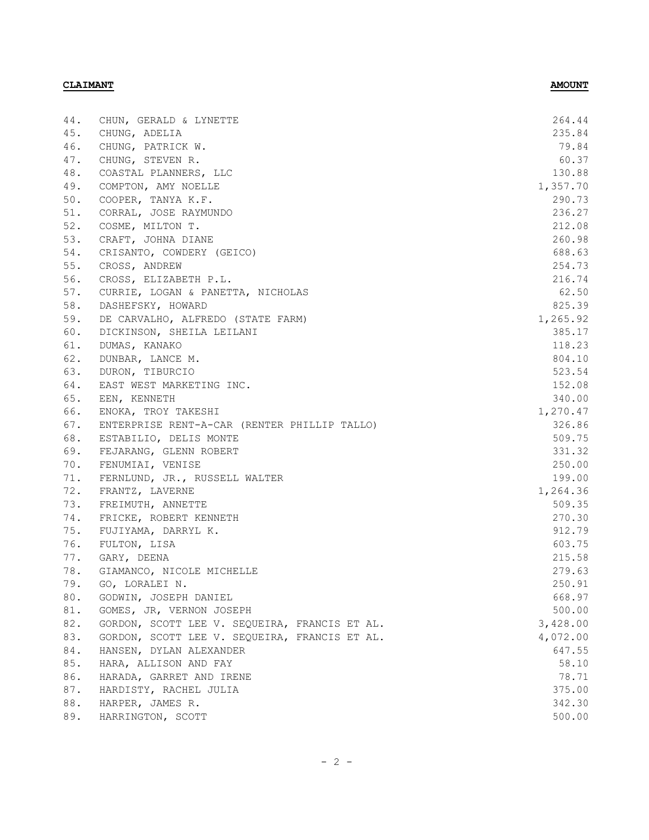| 235.84<br>CHUNG, ADELIA<br>79.84<br>CHUNG, PATRICK W.<br>CHUNG, STEVEN R.<br>60.37<br>130.88<br>COASTAL PLANNERS, LLC<br>COMPTON, AMY NOELLE<br>1,357.70<br>290.73<br>COOPER, TANYA K.F.<br>CORRAL, JOSE RAYMUNDO<br>236.27<br>212.08<br>COSME, MILTON T.<br>CRAFT, JOHNA DIANE<br>260.98<br>688.63<br>CRISANTO, COWDERY (GEICO)<br>254.73<br>CROSS, ANDREW<br>216.74<br>CROSS, ELIZABETH P.L.<br>CURRIE, LOGAN & PANETTA, NICHOLAS<br>62.50<br>825.39<br>DASHEFSKY, HOWARD<br>1,265.92<br>DE CARVALHO, ALFREDO (STATE FARM)<br>DICKINSON, SHEILA LEILANI<br>385.17<br>DUMAS, KANAKO<br>118.23<br>804.10<br>DUNBAR, LANCE M.<br>DURON, TIBURCIO<br>523.54<br>152.08<br>EAST WEST MARKETING INC.<br>EEN, KENNETH<br>340.00<br>ENOKA, TROY TAKESHI<br>1,270.47<br>326.86<br>ENTERPRISE RENT-A-CAR (RENTER PHILLIP TALLO)<br>ESTABILIO, DELIS MONTE<br>509.75<br>FEJARANG, GLENN ROBERT<br>331.32<br>250.00<br>FENUMIAI, VENISE<br>FERNLUND, JR., RUSSELL WALTER<br>199.00<br>1,264.36<br>FRANTZ, LAVERNE<br>FREIMUTH, ANNETTE<br>509.35<br>270.30<br>FRICKE, ROBERT KENNETH<br>912.79<br>FUJIYAMA, DARRYL K.<br>603.75<br>FULTON, LISA<br>215.58<br>GARY, DEENA<br>GIAMANCO, NICOLE MICHELLE<br>279.63<br>GO, LORALEI N.<br>250.91<br>668.97<br>GODWIN, JOSEPH DANIEL<br>500.00<br>GOMES, JR, VERNON JOSEPH<br>3,428.00<br>GORDON, SCOTT LEE V. SEQUEIRA, FRANCIS ET AL.<br>GORDON, SCOTT LEE V. SEQUEIRA, FRANCIS ET AL.<br>4,072.00<br>HANSEN, DYLAN ALEXANDER<br>647.55<br>HARA, ALLISON AND FAY<br>58.10<br>78.71<br>HARADA, GARRET AND IRENE<br>375.00<br>HARDISTY, RACHEL JULIA<br>HARPER, JAMES R.<br>342.30<br>HARRINGTON, SCOTT<br>500.00 | 44. | CHUN, GERALD & LYNETTE | 264.44 |
|--------------------------------------------------------------------------------------------------------------------------------------------------------------------------------------------------------------------------------------------------------------------------------------------------------------------------------------------------------------------------------------------------------------------------------------------------------------------------------------------------------------------------------------------------------------------------------------------------------------------------------------------------------------------------------------------------------------------------------------------------------------------------------------------------------------------------------------------------------------------------------------------------------------------------------------------------------------------------------------------------------------------------------------------------------------------------------------------------------------------------------------------------------------------------------------------------------------------------------------------------------------------------------------------------------------------------------------------------------------------------------------------------------------------------------------------------------------------------------------------------------------------------------------------------------------------------------------------------------------------------------------------------|-----|------------------------|--------|
|                                                                                                                                                                                                                                                                                                                                                                                                                                                                                                                                                                                                                                                                                                                                                                                                                                                                                                                                                                                                                                                                                                                                                                                                                                                                                                                                                                                                                                                                                                                                                                                                                                                  | 45. |                        |        |
|                                                                                                                                                                                                                                                                                                                                                                                                                                                                                                                                                                                                                                                                                                                                                                                                                                                                                                                                                                                                                                                                                                                                                                                                                                                                                                                                                                                                                                                                                                                                                                                                                                                  | 46. |                        |        |
|                                                                                                                                                                                                                                                                                                                                                                                                                                                                                                                                                                                                                                                                                                                                                                                                                                                                                                                                                                                                                                                                                                                                                                                                                                                                                                                                                                                                                                                                                                                                                                                                                                                  | 47. |                        |        |
|                                                                                                                                                                                                                                                                                                                                                                                                                                                                                                                                                                                                                                                                                                                                                                                                                                                                                                                                                                                                                                                                                                                                                                                                                                                                                                                                                                                                                                                                                                                                                                                                                                                  | 48. |                        |        |
|                                                                                                                                                                                                                                                                                                                                                                                                                                                                                                                                                                                                                                                                                                                                                                                                                                                                                                                                                                                                                                                                                                                                                                                                                                                                                                                                                                                                                                                                                                                                                                                                                                                  | 49. |                        |        |
|                                                                                                                                                                                                                                                                                                                                                                                                                                                                                                                                                                                                                                                                                                                                                                                                                                                                                                                                                                                                                                                                                                                                                                                                                                                                                                                                                                                                                                                                                                                                                                                                                                                  | 50. |                        |        |
|                                                                                                                                                                                                                                                                                                                                                                                                                                                                                                                                                                                                                                                                                                                                                                                                                                                                                                                                                                                                                                                                                                                                                                                                                                                                                                                                                                                                                                                                                                                                                                                                                                                  | 51. |                        |        |
|                                                                                                                                                                                                                                                                                                                                                                                                                                                                                                                                                                                                                                                                                                                                                                                                                                                                                                                                                                                                                                                                                                                                                                                                                                                                                                                                                                                                                                                                                                                                                                                                                                                  | 52. |                        |        |
|                                                                                                                                                                                                                                                                                                                                                                                                                                                                                                                                                                                                                                                                                                                                                                                                                                                                                                                                                                                                                                                                                                                                                                                                                                                                                                                                                                                                                                                                                                                                                                                                                                                  | 53. |                        |        |
|                                                                                                                                                                                                                                                                                                                                                                                                                                                                                                                                                                                                                                                                                                                                                                                                                                                                                                                                                                                                                                                                                                                                                                                                                                                                                                                                                                                                                                                                                                                                                                                                                                                  | 54. |                        |        |
|                                                                                                                                                                                                                                                                                                                                                                                                                                                                                                                                                                                                                                                                                                                                                                                                                                                                                                                                                                                                                                                                                                                                                                                                                                                                                                                                                                                                                                                                                                                                                                                                                                                  | 55. |                        |        |
|                                                                                                                                                                                                                                                                                                                                                                                                                                                                                                                                                                                                                                                                                                                                                                                                                                                                                                                                                                                                                                                                                                                                                                                                                                                                                                                                                                                                                                                                                                                                                                                                                                                  | 56. |                        |        |
|                                                                                                                                                                                                                                                                                                                                                                                                                                                                                                                                                                                                                                                                                                                                                                                                                                                                                                                                                                                                                                                                                                                                                                                                                                                                                                                                                                                                                                                                                                                                                                                                                                                  | 57. |                        |        |
|                                                                                                                                                                                                                                                                                                                                                                                                                                                                                                                                                                                                                                                                                                                                                                                                                                                                                                                                                                                                                                                                                                                                                                                                                                                                                                                                                                                                                                                                                                                                                                                                                                                  | 58. |                        |        |
|                                                                                                                                                                                                                                                                                                                                                                                                                                                                                                                                                                                                                                                                                                                                                                                                                                                                                                                                                                                                                                                                                                                                                                                                                                                                                                                                                                                                                                                                                                                                                                                                                                                  | 59. |                        |        |
|                                                                                                                                                                                                                                                                                                                                                                                                                                                                                                                                                                                                                                                                                                                                                                                                                                                                                                                                                                                                                                                                                                                                                                                                                                                                                                                                                                                                                                                                                                                                                                                                                                                  | 60. |                        |        |
|                                                                                                                                                                                                                                                                                                                                                                                                                                                                                                                                                                                                                                                                                                                                                                                                                                                                                                                                                                                                                                                                                                                                                                                                                                                                                                                                                                                                                                                                                                                                                                                                                                                  | 61. |                        |        |
|                                                                                                                                                                                                                                                                                                                                                                                                                                                                                                                                                                                                                                                                                                                                                                                                                                                                                                                                                                                                                                                                                                                                                                                                                                                                                                                                                                                                                                                                                                                                                                                                                                                  | 62. |                        |        |
|                                                                                                                                                                                                                                                                                                                                                                                                                                                                                                                                                                                                                                                                                                                                                                                                                                                                                                                                                                                                                                                                                                                                                                                                                                                                                                                                                                                                                                                                                                                                                                                                                                                  | 63. |                        |        |
|                                                                                                                                                                                                                                                                                                                                                                                                                                                                                                                                                                                                                                                                                                                                                                                                                                                                                                                                                                                                                                                                                                                                                                                                                                                                                                                                                                                                                                                                                                                                                                                                                                                  | 64. |                        |        |
|                                                                                                                                                                                                                                                                                                                                                                                                                                                                                                                                                                                                                                                                                                                                                                                                                                                                                                                                                                                                                                                                                                                                                                                                                                                                                                                                                                                                                                                                                                                                                                                                                                                  | 65. |                        |        |
|                                                                                                                                                                                                                                                                                                                                                                                                                                                                                                                                                                                                                                                                                                                                                                                                                                                                                                                                                                                                                                                                                                                                                                                                                                                                                                                                                                                                                                                                                                                                                                                                                                                  | 66. |                        |        |
|                                                                                                                                                                                                                                                                                                                                                                                                                                                                                                                                                                                                                                                                                                                                                                                                                                                                                                                                                                                                                                                                                                                                                                                                                                                                                                                                                                                                                                                                                                                                                                                                                                                  | 67. |                        |        |
|                                                                                                                                                                                                                                                                                                                                                                                                                                                                                                                                                                                                                                                                                                                                                                                                                                                                                                                                                                                                                                                                                                                                                                                                                                                                                                                                                                                                                                                                                                                                                                                                                                                  | 68. |                        |        |
|                                                                                                                                                                                                                                                                                                                                                                                                                                                                                                                                                                                                                                                                                                                                                                                                                                                                                                                                                                                                                                                                                                                                                                                                                                                                                                                                                                                                                                                                                                                                                                                                                                                  | 69. |                        |        |
|                                                                                                                                                                                                                                                                                                                                                                                                                                                                                                                                                                                                                                                                                                                                                                                                                                                                                                                                                                                                                                                                                                                                                                                                                                                                                                                                                                                                                                                                                                                                                                                                                                                  | 70. |                        |        |
|                                                                                                                                                                                                                                                                                                                                                                                                                                                                                                                                                                                                                                                                                                                                                                                                                                                                                                                                                                                                                                                                                                                                                                                                                                                                                                                                                                                                                                                                                                                                                                                                                                                  | 71. |                        |        |
|                                                                                                                                                                                                                                                                                                                                                                                                                                                                                                                                                                                                                                                                                                                                                                                                                                                                                                                                                                                                                                                                                                                                                                                                                                                                                                                                                                                                                                                                                                                                                                                                                                                  | 72. |                        |        |
|                                                                                                                                                                                                                                                                                                                                                                                                                                                                                                                                                                                                                                                                                                                                                                                                                                                                                                                                                                                                                                                                                                                                                                                                                                                                                                                                                                                                                                                                                                                                                                                                                                                  | 73. |                        |        |
|                                                                                                                                                                                                                                                                                                                                                                                                                                                                                                                                                                                                                                                                                                                                                                                                                                                                                                                                                                                                                                                                                                                                                                                                                                                                                                                                                                                                                                                                                                                                                                                                                                                  | 74. |                        |        |
|                                                                                                                                                                                                                                                                                                                                                                                                                                                                                                                                                                                                                                                                                                                                                                                                                                                                                                                                                                                                                                                                                                                                                                                                                                                                                                                                                                                                                                                                                                                                                                                                                                                  | 75. |                        |        |
|                                                                                                                                                                                                                                                                                                                                                                                                                                                                                                                                                                                                                                                                                                                                                                                                                                                                                                                                                                                                                                                                                                                                                                                                                                                                                                                                                                                                                                                                                                                                                                                                                                                  | 76. |                        |        |
|                                                                                                                                                                                                                                                                                                                                                                                                                                                                                                                                                                                                                                                                                                                                                                                                                                                                                                                                                                                                                                                                                                                                                                                                                                                                                                                                                                                                                                                                                                                                                                                                                                                  | 77. |                        |        |
|                                                                                                                                                                                                                                                                                                                                                                                                                                                                                                                                                                                                                                                                                                                                                                                                                                                                                                                                                                                                                                                                                                                                                                                                                                                                                                                                                                                                                                                                                                                                                                                                                                                  | 78. |                        |        |
|                                                                                                                                                                                                                                                                                                                                                                                                                                                                                                                                                                                                                                                                                                                                                                                                                                                                                                                                                                                                                                                                                                                                                                                                                                                                                                                                                                                                                                                                                                                                                                                                                                                  | 79. |                        |        |
|                                                                                                                                                                                                                                                                                                                                                                                                                                                                                                                                                                                                                                                                                                                                                                                                                                                                                                                                                                                                                                                                                                                                                                                                                                                                                                                                                                                                                                                                                                                                                                                                                                                  | 80. |                        |        |
|                                                                                                                                                                                                                                                                                                                                                                                                                                                                                                                                                                                                                                                                                                                                                                                                                                                                                                                                                                                                                                                                                                                                                                                                                                                                                                                                                                                                                                                                                                                                                                                                                                                  | 81. |                        |        |
|                                                                                                                                                                                                                                                                                                                                                                                                                                                                                                                                                                                                                                                                                                                                                                                                                                                                                                                                                                                                                                                                                                                                                                                                                                                                                                                                                                                                                                                                                                                                                                                                                                                  | 82. |                        |        |
|                                                                                                                                                                                                                                                                                                                                                                                                                                                                                                                                                                                                                                                                                                                                                                                                                                                                                                                                                                                                                                                                                                                                                                                                                                                                                                                                                                                                                                                                                                                                                                                                                                                  | 83. |                        |        |
|                                                                                                                                                                                                                                                                                                                                                                                                                                                                                                                                                                                                                                                                                                                                                                                                                                                                                                                                                                                                                                                                                                                                                                                                                                                                                                                                                                                                                                                                                                                                                                                                                                                  | 84. |                        |        |
|                                                                                                                                                                                                                                                                                                                                                                                                                                                                                                                                                                                                                                                                                                                                                                                                                                                                                                                                                                                                                                                                                                                                                                                                                                                                                                                                                                                                                                                                                                                                                                                                                                                  | 85. |                        |        |
|                                                                                                                                                                                                                                                                                                                                                                                                                                                                                                                                                                                                                                                                                                                                                                                                                                                                                                                                                                                                                                                                                                                                                                                                                                                                                                                                                                                                                                                                                                                                                                                                                                                  | 86. |                        |        |
|                                                                                                                                                                                                                                                                                                                                                                                                                                                                                                                                                                                                                                                                                                                                                                                                                                                                                                                                                                                                                                                                                                                                                                                                                                                                                                                                                                                                                                                                                                                                                                                                                                                  | 87. |                        |        |
|                                                                                                                                                                                                                                                                                                                                                                                                                                                                                                                                                                                                                                                                                                                                                                                                                                                                                                                                                                                                                                                                                                                                                                                                                                                                                                                                                                                                                                                                                                                                                                                                                                                  | 88. |                        |        |
|                                                                                                                                                                                                                                                                                                                                                                                                                                                                                                                                                                                                                                                                                                                                                                                                                                                                                                                                                                                                                                                                                                                                                                                                                                                                                                                                                                                                                                                                                                                                                                                                                                                  | 89. |                        |        |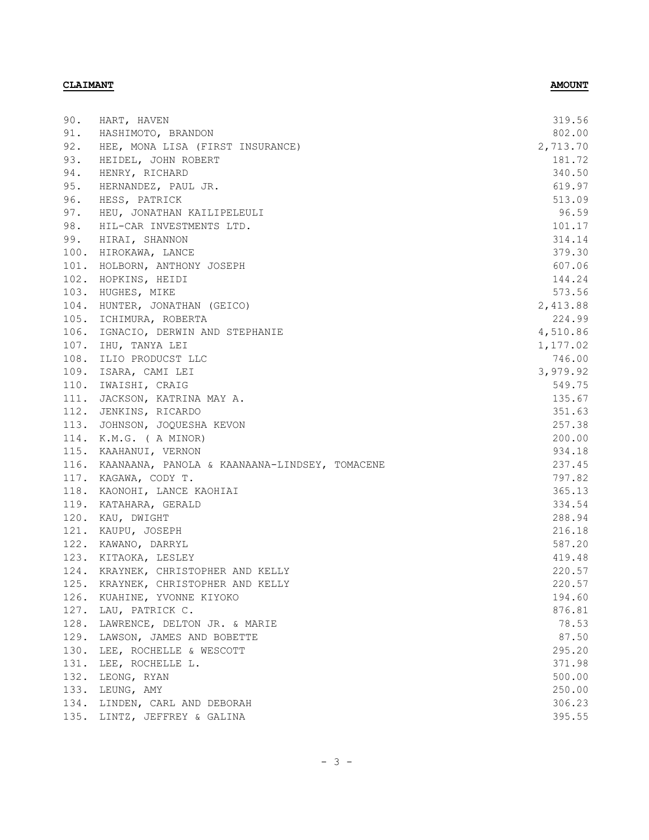| 90.  | HART, HAVEN                                        | 319.56   |
|------|----------------------------------------------------|----------|
| 91.  | HASHIMOTO, BRANDON                                 | 802.00   |
| 92.  | HEE, MONA LISA (FIRST INSURANCE)                   | 2,713.70 |
| 93.  | HEIDEL, JOHN ROBERT                                | 181.72   |
| 94.  | HENRY, RICHARD                                     | 340.50   |
| 95.  | HERNANDEZ, PAUL JR.                                | 619.97   |
| 96.  | HESS, PATRICK                                      | 513.09   |
| 97.  | HEU, JONATHAN KAILIPELEULI                         | 96.59    |
| 98.  | HIL-CAR INVESTMENTS LTD.                           | 101.17   |
| 99.  | HIRAI, SHANNON                                     | 314.14   |
|      | 100. HIROKAWA, LANCE                               | 379.30   |
|      | 101. HOLBORN, ANTHONY JOSEPH                       | 607.06   |
|      | 102. HOPKINS, HEIDI                                | 144.24   |
|      | 103. HUGHES, MIKE                                  | 573.56   |
|      | 104. HUNTER, JONATHAN (GEICO)                      | 2,413.88 |
|      | 105. ICHIMURA, ROBERTA                             | 224.99   |
|      | 106. IGNACIO, DERWIN AND STEPHANIE                 | 4,510.86 |
|      | 107. IHU, TANYA LEI                                | 1,177.02 |
|      | 108. ILIO PRODUCST LLC                             | 746.00   |
|      | 109. ISARA, CAMI LEI                               | 3,979.92 |
|      | 110. IWAISHI, CRAIG                                | 549.75   |
|      | 111. JACKSON, KATRINA MAY A.                       | 135.67   |
|      | 112. JENKINS, RICARDO                              | 351.63   |
|      | 113. JOHNSON, JOQUESHA KEVON                       | 257.38   |
|      | 114. K.M.G. ( A MINOR)                             | 200.00   |
|      | 115. KAAHANUI, VERNON                              | 934.18   |
|      | 116. KAANAANA, PANOLA & KAANAANA-LINDSEY, TOMACENE | 237.45   |
|      | 117. KAGAWA, CODY T.                               | 797.82   |
|      | 118. KAONOHI, LANCE KAOHIAI                        | 365.13   |
|      | 119. KATAHARA, GERALD                              | 334.54   |
|      | 120. KAU, DWIGHT                                   | 288.94   |
|      | 121. KAUPU, JOSEPH                                 | 216.18   |
|      | 122. KAWANO, DARRYL                                | 587.20   |
|      | 123. KITAOKA, LESLEY                               | 419.48   |
|      | 124. KRAYNEK, CHRISTOPHER AND KELLY                | 220.57   |
|      | 125. KRAYNEK, CHRISTOPHER AND KELLY                | 220.57   |
| 126. | KUAHINE, YVONNE KIYOKO                             | 194.60   |
| 127. | LAU, PATRICK C.                                    | 876.81   |
| 128. | LAWRENCE, DELTON JR. & MARIE                       | 78.53    |
| 129. | LAWSON, JAMES AND BOBETTE                          | 87.50    |
| 130. | LEE, ROCHELLE & WESCOTT                            | 295.20   |
| 131. | LEE, ROCHELLE L.                                   | 371.98   |
| 132. | LEONG, RYAN                                        | 500.00   |
| 133. | LEUNG, AMY                                         | 250.00   |
| 134. | LINDEN, CARL AND DEBORAH                           | 306.23   |
| 135. | LINTZ, JEFFREY & GALINA                            | 395.55   |
|      |                                                    |          |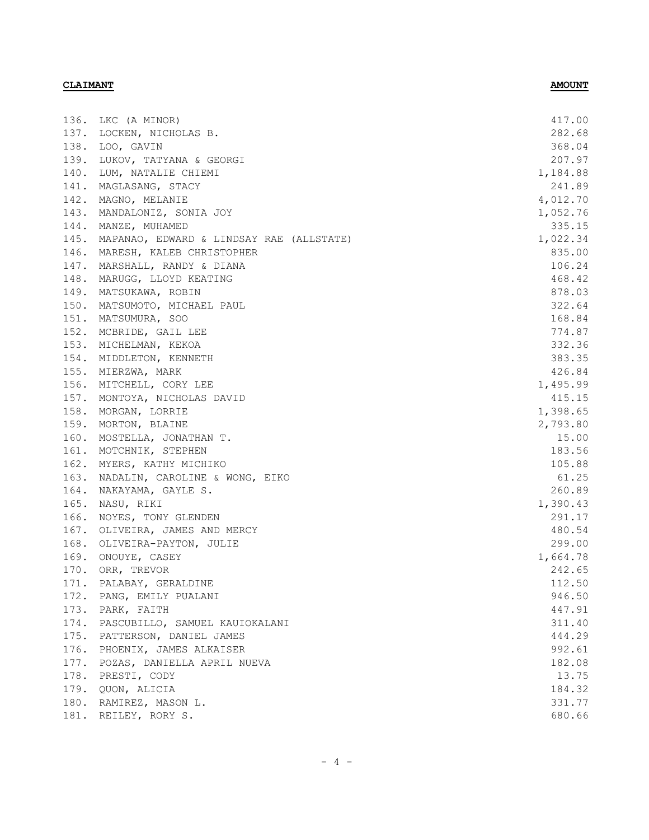| 136. | LKC (A MINOR)                                 | 417.00   |
|------|-----------------------------------------------|----------|
|      | 137. LOCKEN, NICHOLAS B.                      | 282.68   |
|      | 138. LOO, GAVIN                               | 368.04   |
| 139. | LUKOV, TATYANA & GEORGI                       | 207.97   |
| 140. | LUM, NATALIE CHIEMI                           | 1,184.88 |
| 141. | MAGLASANG, STACY                              | 241.89   |
|      | 142. MAGNO, MELANIE                           | 4,012.70 |
|      | 143. MANDALONIZ, SONIA JOY                    | 1,052.76 |
|      | 144. MANZE, MUHAMED                           | 335.15   |
|      | 145. MAPANAO, EDWARD & LINDSAY RAE (ALLSTATE) | 1,022.34 |
|      | 146. MARESH, KALEB CHRISTOPHER                | 835.00   |
|      | 147. MARSHALL, RANDY & DIANA                  | 106.24   |
|      | 148. MARUGG, LLOYD KEATING                    | 468.42   |
|      | 149. MATSUKAWA, ROBIN                         | 878.03   |
|      | 150. MATSUMOTO, MICHAEL PAUL                  | 322.64   |
|      | 151. MATSUMURA, SOO                           | 168.84   |
|      | 152. MCBRIDE, GAIL LEE                        | 774.87   |
|      | 153. MICHELMAN, KEKOA                         | 332.36   |
|      | 154. MIDDLETON, KENNETH                       | 383.35   |
|      | 155. MIERZWA, MARK                            | 426.84   |
|      | 156. MITCHELL, CORY LEE                       | 1,495.99 |
|      | 157. MONTOYA, NICHOLAS DAVID                  | 415.15   |
|      | 158. MORGAN, LORRIE                           | 1,398.65 |
|      | 159. MORTON, BLAINE                           | 2,793.80 |
|      | 160. MOSTELLA, JONATHAN T.                    | 15.00    |
|      | 161. MOTCHNIK, STEPHEN                        | 183.56   |
|      | 162. MYERS, KATHY MICHIKO                     | 105.88   |
|      | 163. NADALIN, CAROLINE & WONG, EIKO           | 61.25    |
| 164. | NAKAYAMA, GAYLE S.                            | 260.89   |
| 165. | NASU, RIKI                                    | 1,390.43 |
| 166. | NOYES, TONY GLENDEN                           | 291.17   |
| 167. | OLIVEIRA, JAMES AND MERCY                     | 480.54   |
|      | 168. OLIVEIRA-PAYTON, JULIE                   | 299.00   |
|      | 169. ONOUYE, CASEY                            | 1,664.78 |
|      | 170. ORR, TREVOR                              | 242.65   |
|      | 171. PALABAY, GERALDINE                       | 112.50   |
| 172. | PANG, EMILY PUALANI                           | 946.50   |
|      | 173. PARK, FAITH                              | 447.91   |
|      | 174. PASCUBILLO, SAMUEL KAUIOKALANI           | 311.40   |
|      | 175. PATTERSON, DANIEL JAMES                  | 444.29   |
| 176. | PHOENIX, JAMES ALKAISER                       | 992.61   |
| 177. | POZAS, DANIELLA APRIL NUEVA                   | 182.08   |
| 178. | PRESTI, CODY                                  | 13.75    |
| 179. | QUON, ALICIA                                  | 184.32   |
|      | 180. RAMIREZ, MASON L.                        | 331.77   |
|      | 181. REILEY, RORY S.                          | 680.66   |
|      |                                               |          |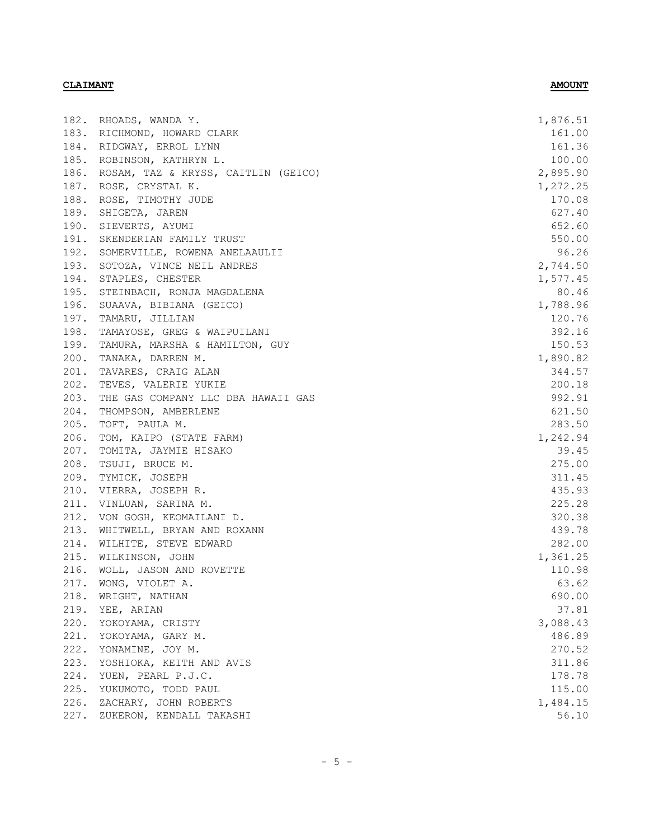|      | 182. RHOADS, WANDA Y.               | 1,876.51 |
|------|-------------------------------------|----------|
|      | 183. RICHMOND, HOWARD CLARK         | 161.00   |
|      | 184. RIDGWAY, ERROL LYNN            | 161.36   |
| 185. | ROBINSON, KATHRYN L.                | 100.00   |
| 186. | ROSAM, TAZ & KRYSS, CAITLIN (GEICO) | 2,895.90 |
| 187. | ROSE, CRYSTAL K.                    | 1,272.25 |
| 188. | ROSE, TIMOTHY JUDE                  | 170.08   |
| 189. | SHIGETA, JAREN                      | 627.40   |
| 190. | SIEVERTS, AYUMI                     | 652.60   |
| 191. | SKENDERIAN FAMILY TRUST             | 550.00   |
|      | 192. SOMERVILLE, ROWENA ANELAAULII  | 96.26    |
|      | 193. SOTOZA, VINCE NEIL ANDRES      | 2,744.50 |
|      | 194. STAPLES, CHESTER               | 1,577.45 |
|      | 195. STEINBACH, RONJA MAGDALENA     | 80.46    |
|      | 196. SUAAVA, BIBIANA (GEICO)        | 1,788.96 |
| 197. | TAMARU, JILLIAN                     | 120.76   |
| 198. | TAMAYOSE, GREG & WAIPUILANI         | 392.16   |
| 199. | TAMURA, MARSHA & HAMILTON, GUY      | 150.53   |
| 200. | TANAKA, DARREN M.                   | 1,890.82 |
| 201. | TAVARES, CRAIG ALAN                 | 344.57   |
| 202. | TEVES, VALERIE YUKIE                | 200.18   |
| 203. | THE GAS COMPANY LLC DBA HAWAII GAS  | 992.91   |
| 204. | THOMPSON, AMBERLENE                 | 621.50   |
| 205. | TOFT, PAULA M.                      | 283.50   |
| 206. | TOM, KAIPO (STATE FARM)             | 1,242.94 |
| 207. | TOMITA, JAYMIE HISAKO               | 39.45    |
| 208. | TSUJI, BRUCE M.                     | 275.00   |
| 209. | TYMICK, JOSEPH                      | 311.45   |
| 210. | VIERRA, JOSEPH R.                   | 435.93   |
| 211. | VINLUAN, SARINA M.                  | 225.28   |
| 212. | VON GOGH, KEOMAILANI D.             | 320.38   |
| 213. | WHITWELL, BRYAN AND ROXANN          | 439.78   |
| 214. | WILHITE, STEVE EDWARD               | 282.00   |
| 215. | WILKINSON, JOHN                     | 1,361.25 |
|      | 216. WOLL, JASON AND ROVETTE        | 110.98   |
|      | 217. WONG, VIOLET A.                | 63.62    |
| 218. | WRIGHT, NATHAN                      | 690.00   |
| 219. | YEE, ARIAN                          | 37.81    |
| 220. | YOKOYAMA, CRISTY                    | 3,088.43 |
| 221. | YOKOYAMA, GARY M.                   | 486.89   |
| 222. | YONAMINE, JOY M.                    | 270.52   |
| 223. | YOSHIOKA, KEITH AND AVIS            | 311.86   |
| 224. | YUEN, PEARL P.J.C.                  | 178.78   |
| 225. | YUKUMOTO, TODD PAUL                 | 115.00   |
| 226. | ZACHARY, JOHN ROBERTS               | 1,484.15 |
| 227. | ZUKERON, KENDALL TAKASHI            | 56.10    |
|      |                                     |          |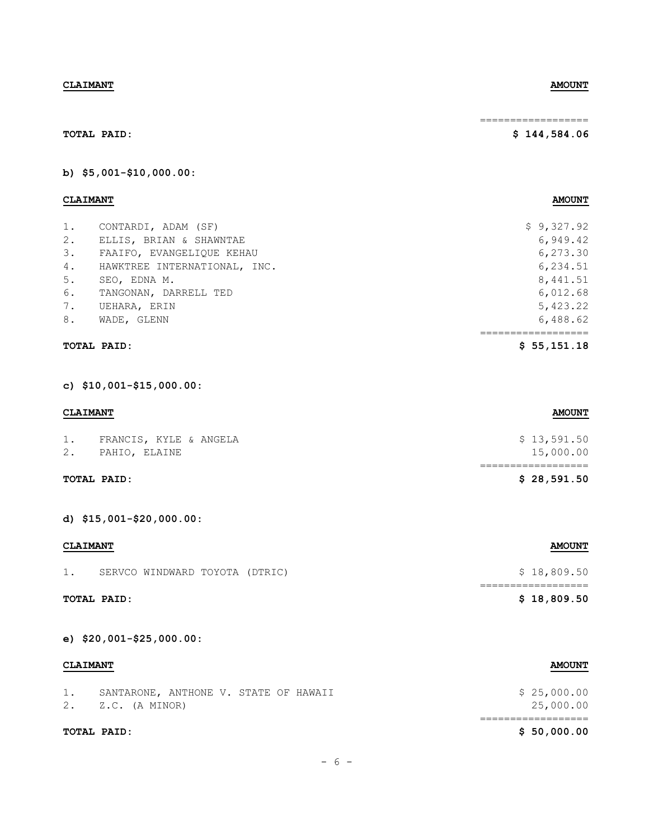| <b>CLAIMANT</b>                                               | <b>AMOUNT</b>                     |
|---------------------------------------------------------------|-----------------------------------|
| 1. FRANCIS, KYLE & ANGELA<br>2. PAHIO, ELAINE                 | \$13,591.50<br>15,000.00          |
| TOTAL PAID:                                                   | ==================<br>\$28,591.50 |
| d) \$15,001-\$20,000.00:                                      |                                   |
| <b>CLAIMANT</b>                                               | <b>AMOUNT</b>                     |
| 1. SERVCO WINDWARD TOYOTA (DTRIC)                             | \$18,809.50                       |
| TOTAL PAID:                                                   | ==================<br>\$18,809.50 |
| e) \$20,001-\$25,000.00:                                      |                                   |
| <b>CLAIMANT</b>                                               | <b>AMOUNT</b>                     |
| 1. SANTARONE, ANTHONE V. STATE OF HAWAII<br>2. Z.C. (A MINOR) | \$25,000.00<br>25,000.00          |
|                                                               | ==================                |

**b) \$5,001-\$10,000.00:**

## **CLAIMANT AMOUNT**

**TOTAL PAID:**

|    | <b>TOTAL PAID:</b>           | \$55,151.18 |
|----|------------------------------|-------------|
| 8. | WADE, GLENN                  | 6,488.62    |
| 7. | UEHARA, ERIN                 | 5,423.22    |
| 6. | TANGONAN, DARRELL TED        | 6,012.68    |
| 5. | SEO, EDNA M.                 | 8,441.51    |
| 4. | HAWKTREE INTERNATIONAL, INC. | 6,234.51    |
| 3. | FAAIFO, EVANGELIOUE KEHAU    | 6,273.30    |
| 2. | ELLIS, BRIAN & SHAWNTAE      | 6,949.42    |
| 1. | CONTARDI, ADAM (SF)          | \$9,327.92  |

# **TOTAL PAID:**

**c) \$10,001-\$15,000.00:**

# **TOTAL PAID: \$ 50,000.00**

# $- 6 -$

## **CLAIMANT AMOUNT**

## ==================

## **\$ 144,584.06**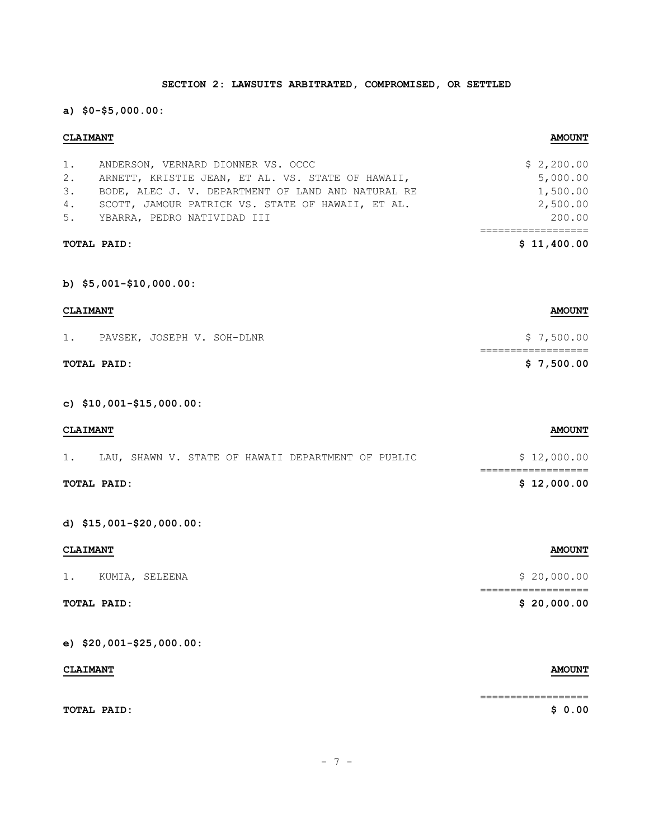# **SECTION 2: LAWSUITS ARBITRATED, COMPROMISED, OR SETTLED**

**a) \$0-\$5,000.00:**

## **CLAIMANT AMOUNT**

|    | TOTAL PAID:                                        | \$11,400.00 |
|----|----------------------------------------------------|-------------|
|    | 5. YBARRA, PEDRO NATIVIDAD III                     | 200.00      |
| 4. | SCOTT, JAMOUR PATRICK VS. STATE OF HAWAII, ET AL.  | 2,500.00    |
| 3. | BODE, ALEC J. V. DEPARTMENT OF LAND AND NATURAL RE | 1,500.00    |
| 2. | ARNETT, KRISTIE JEAN, ET AL. VS. STATE OF HAWAII,  | 5,000.00    |
| 1. | ANDERSON, VERNARD DIONNER VS. OCCC                 | \$2,200.00  |

**b) \$5,001-\$10,000.00:**

| <b>CLAIMANT</b> |             | <b>AMOUNT</b>              |            |
|-----------------|-------------|----------------------------|------------|
| 1.              |             | PAVSEK, JOSEPH V. SOH-DLNR | \$7,500.00 |
|                 | TOTAL PAID: |                            | \$7,500.00 |

**c) \$10,001-\$15,000.00:**

| <b>CLAIMANT</b> |  |  |  |  |  |  | <b>AMOUNT</b>                                      |  |             |
|-----------------|--|--|--|--|--|--|----------------------------------------------------|--|-------------|
|                 |  |  |  |  |  |  | LAU, SHAWN V. STATE OF HAWAII DEPARTMENT OF PUBLIC |  | \$12,000.00 |
| TOTAL PAID:     |  |  |  |  |  |  |                                                    |  | \$12,000.00 |

**d) \$15,001-\$20,000.00:**

| <b>CLAIMANT</b>          | <b>AMOUNT</b> |
|--------------------------|---------------|
| $1$ .<br>KUMIA, SELEENA  | \$20,000.00   |
| TOTAL PAID:              | \$20,000.00   |
| e) $$20,001-$25,000.00:$ |               |

| <b>CLAIMANT</b> | <b>AMOUNT</b> |
|-----------------|---------------|
|                 |               |
| TOTAL PAID:     | \$ 0.00       |